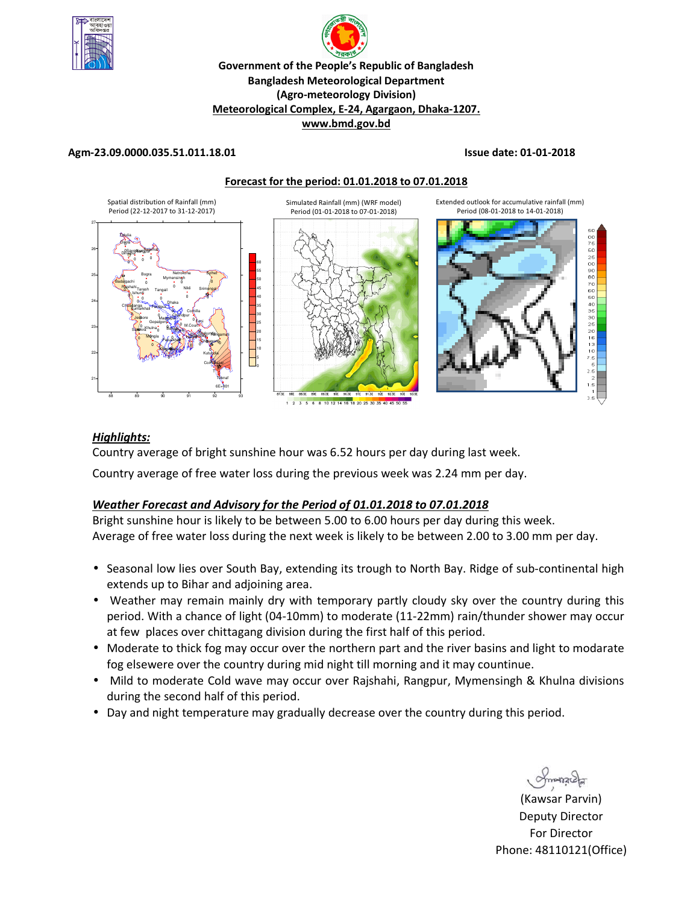

# **R Government of the People's Republic of Bangladesh Bangladesh Meteorological Department (Agro-meteorology Division) Meteorological Complex, E-24, Agargaon, Dhaka-1207. www.bmd.gov.bd**

# **Agm-23.09.0000.035.51.011.18.01 Issue date: 01-01-2018**

**Forecast for the period: 01.01.2018 to 07.01.2018**



#### 18.20.25.30

# *Highlights:*

Country average of bright sunshine hour was 6.52 hours per day during last week.

Country average of free water loss during the previous week was 2.24 mm per day.

# *Weather Forecast and Advisory for the Period of 01.01.2018 to 07.01.2018*

Bright sunshine hour is likely to be between 5.00 to 6.00 hours per day during this week. Average of free water loss during the next week is likely to be between 2.00 to 3.00 mm per day.

- Seasonal low lies over South Bay, extending its trough to North Bay. Ridge of sub-continental high extends up to Bihar and adjoining area.
- Weather may remain mainly dry with temporary partly cloudy sky over the country during this period. With a chance of light (04-10mm) to moderate (11-22mm) rain/thunder shower may occur at few places over chittagang division during the first half of this period.
- Moderate to thick fog may occur over the northern part and the river basins and light to modarate fog elsewere over the country during mid night till morning and it may countinue.
- Mild to moderate Cold wave may occur over Rajshahi, Rangpur, Mymensingh & Khulna divisions during the second half of this period.
- Day and night temperature may gradually decrease over the country during this period.

 $max$ 

**N.** (Kawsar Parvin) Deputy Director For Director Phone: 48110121(Office)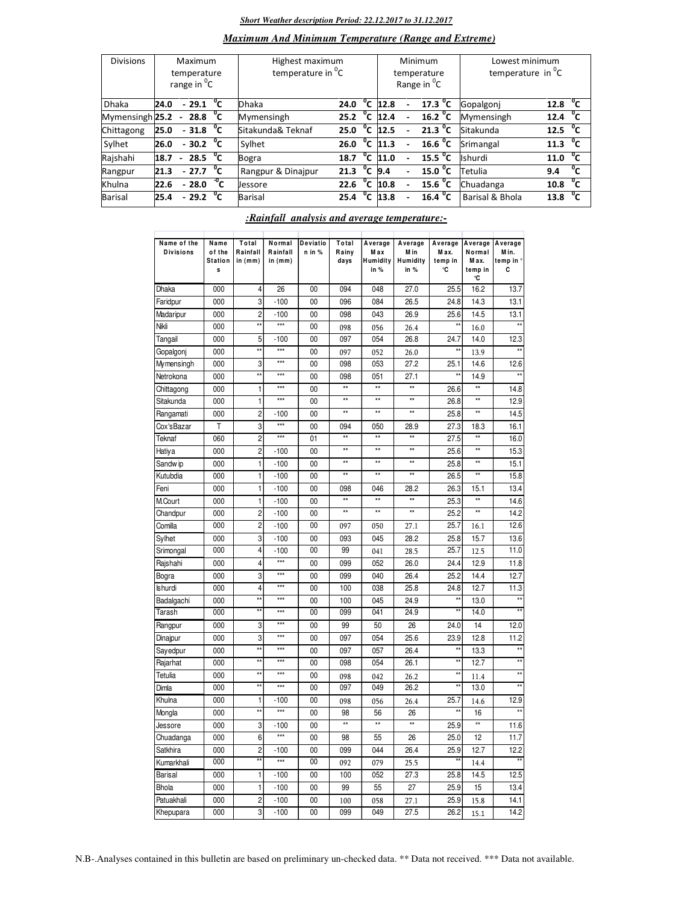#### *Short Weather description Period: 22.12.2017 to 31.12.2017*

## *Maximum And Minimum Temperature (Range and Extreme)*

| <b>Divisions</b> | Maximum<br>temperature<br>range in <sup>O</sup> C |                |                          |              | Highest maximum<br>temperature in <sup>0</sup> C |      |                |      | Minimum<br>temperature<br>Range in <sup>O</sup> C | Lowest minimum<br>temperature in $^0C$ |                      |  |
|------------------|---------------------------------------------------|----------------|--------------------------|--------------|--------------------------------------------------|------|----------------|------|---------------------------------------------------|----------------------------------------|----------------------|--|
| <b>Dhaka</b>     | 24.0                                              |                | $-29.1$                  | $^{\circ}$ c | Dhaka                                            | 24.0 | $^{\circ}$ c   | 12.8 | 17.3 <sup>0</sup> C                               | Gopalgoni                              | °c<br>12.8           |  |
| Mymensingh 25.2  |                                                   |                | $-28.8\text{ °C}$        |              | Mymensingh                                       | 25.2 | $^{\circ}$ c   | 12.4 | 16.2 $^{\circ}$ C                                 | Mymensingh                             | °c<br>12.4           |  |
| Chittagong       | 25.0                                              |                | $-31.8\text{ }^{\circ}C$ |              | Sitakunda& Teknaf                                | 25.0 | °c             | 12.5 | $\overline{21.3}$ <sup>o</sup> C                  | Sitakunda                              | 12.5 $\degree$ C     |  |
| Sylhet           | 26.0                                              |                | $-30.2 \text{ °C}$       |              | Sylhet                                           | 26.0 | °c             | 11.3 | 16.6 $^{\circ}$ C                                 | Srimangal                              | $11.3 \text{ °C}$    |  |
| Rajshahi         | 18.7                                              | $\blacksquare$ | 28.5 $^{\circ}$ C        |              | Bogra                                            | 18.7 | °c             | 11.0 | 15.5 <sup>o</sup> C                               | Ishurdi                                | °c<br>11.0           |  |
| Rangpur          | 21.3                                              |                | $-27.7\text{ }^{\circ}C$ |              | Rangpur & Dinajpur                               | 21.3 | $^{\circ}$ c   | 9.4  | 15.0 $\degree$ C                                  | Tetulia                                | °c<br>9.4            |  |
| Khulna           | 22.6                                              |                | $-28.0$                  | $-0$ C       | <b>Jessore</b>                                   | 22.6 | $^0$ C         | 10.8 | 15.6 $^{\circ}$ C                                 | Chuadanga                              | 10.8 <sup>o</sup> C  |  |
| Barisal          | 25.4                                              |                | $-29.2$ <sup>0</sup> C   |              | <b>Barisal</b>                                   | 25.4 | $\overline{c}$ | 13.8 | $16.4 \text{ °C}$                                 | Barisal & Bhola                        | $^{\circ}$ c<br>13.8 |  |

#### Dhaka | 000 | 4 | 26 | 00 | 094 | 048 | 27.0 | 25.5 |16.2 | 13.7 Faridpur | 000 | 3| -100 | 00 | 096 | 084 | 26.5 | 24.8 14.3 | 13.1 Madaripur | 000 | 2| -100 | 00 | 098 | 043 | 26.9 | 25.6| 14.5 | 13.1 Nikli | 000 | \*\*| \*\*\* | 00 | 098 | 056 | 26.4 | \*\*| 16.0 | \*\* Tangail | 000 | 5| -100 | 00 | 097 | 054 | 26.8 | 24.7| 14.0 | 12.3 Gopalgonj | 000 | \*\*| \*\*\* | 00 | 097 | 052 | 26.0 | \*\*| 13.9 | \*\* Mymensingh 000 3 \*\*\* 00 098 053 27.2 25.1 14.6 12.6 Netrokona | 000 | \*\*| \*\*\* | 00 | 098 | 051 | 27.1 | \*\*| 14.9 | \*\* Chittagong | 000 | 11 \*\*\* | 00 | \*\* | \*\* | \*\* | 26.6| \*\* | 14.8 Sitakunda | 000 | 11 \*\*\* | 00 | \*\* | \*\* | \*\* | 26.8| \*\* | 12.9 Rangamati | 000 | 2| -100 | 00 | \*\* | \*\* | \*\* | 25.8| \*\* | 14.5 Cox'sBazar | T | 3| \*\*\* | 00 | 094 | 050 | 28.9 | 27.3 | 18.3 | 16.1 Teknaf | 060 | 2| \*\*\* | 01 | \*\* | \*\* | \*\* | 27.5| \*\* | 16.0 Hatiya | 000 | 2| -100 | 00 | \*\* | \*\* | \*\* | 25.6| \*\* | 15.3 Sandwip | 000 | 1| -100 | 00 | \*\* | \*\* | \*\* | 25.8| \*\* | 15.1 Kutubdia | 000 | 1 | -100 | 00 | \*\* | \*\* | 26.5 | \*\* | 15.8 Feni 000 1 -100 00 098 046 28.2 26.3 15.1 13.4 M.Court | 000 | 1| -100 | 00 | \*\* | \*\* | \*\* | 25.3| \*\* | 14.6 Chandpur | 000 | 2 | -100 | 00 | \*\* | \*\* | \*\* | 25.2 \*\* | 14.2 Comilla 000 2 -100 00 097 050 27.1 25.7 16.1 12.6 Sylhet | 000 | 3| -100 | 00 | 093 | 045 | 28.2 | 25.8 15.7 | 13.6 Srimongal | 000 | 4 | -100 | 00 | 99 | 041 | 28.5 | 25.7 | 12.5 | 11.0 Rajshahi 000 4 \*\*\* 00 099 052 26.0 24.4 12.9 11.8 Bogra | 000 | 3| \*\*\* | 00 | 099 | 040 | 26.4 | 25.2| 14.4 | 12.7 Ishurdi 000 4 \*\*\* 00 100 038 25.8 24.8 12.7 11.3 Badalgachi | 000 | \*\*| \*\*\* | 00 | 100 | 045 | 24.9 | \*\*| 13.0 | \*\* Tarash | 000 | \*\*| \*\*\* | 00 | 099 | 041 | 24.9 | \*\*| 14.0 | \*\* Rangpur 000 3 \*\*\* 00 99 50 26 24.0 14 12.0 Dinajpur 000 3 \*\*\* 00 097 054 25.6 23.9 12.8 11.2 Sayedpur | 000 | \*\*| \*\*\* | 00 | 097 | 057 | 26.4 | \*\*| 13.3 | \*\* Rajarhat | 000 | \*\*| \*\*\* | 00 | 098 | 054 | 26.1 | \*\*| 12.7 | \*\* Tetulia | 000 | \*\*| \*\*\* | 00 | 098 | 042 | 26.2 | \*\*| 11.4 | \*\* Dimla | 000 | \*\*| \*\*\* | 00 | 097 | 049 | 26.2 | \*\*| 13.0 | \*\* Khulna | 000 | 1 1| -100 | 00 | 098 | 056 | 26.4 | 25.7 14.6 | 12.9 Mongla | 000 | \*\*| \*\*\* | 00 | 98 | 56 | 26 | \*\*| 16 | \*\* Jessore | 000 | 3| -100 | 00 | \*\* | \*\* | \*\* | 25.9| \*\* | 11.6 Chuadanga 000 6 \*\*\* 00 98 55 26 25.0 12 11.7 Satkhira | 000 | 2| -100 | 00 | 099 | 044 | 26.4 | 25.9| 12.7 | 12.2 Kumarkhali | 000 | \*\* | \*\*\* | 00 | 092 | 079 | 25.5 | \*\* 14.4 | \*\* Barisal 000 1 -100 00 100 052 27.3 25.8 14.5 12.5 Bhola | 000 | 1| -100 | 00 | 99 | 55 | 27 | 25.9| 15 | 13.4 Patuakhali | 000 | 2 -100 | 00 | 100 | 058 | 27.1 | 25.9 15.8 | 14.1 **A verage M ax H umidity in % T o tal R ainfall in (mm) A verage N o rmal M ax. temp in °C A verage M in. temp in ° C N o rmal R ainfall in (mm) D eviatio n in % A verage M in H umidity in % A verage M ax. temp in °C T o tal R ainy days N ame o f the Statio n s N ame o f the D ivisio ns**

### *:Rainfall analysis and average temperature:-*

Khepupara 000 3 -100 00 099 049 27.5 26.2 15.1 14.2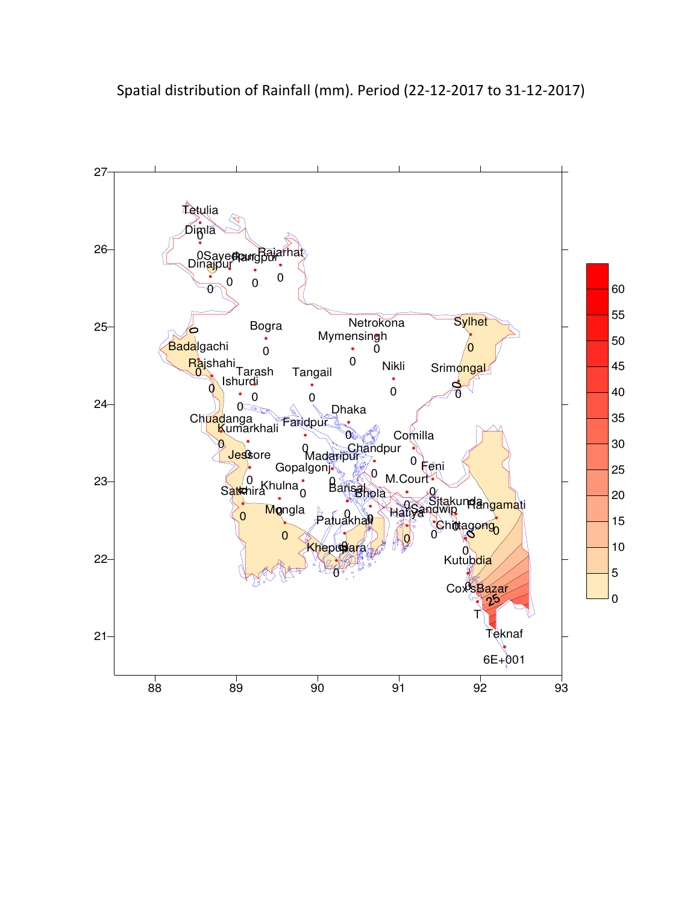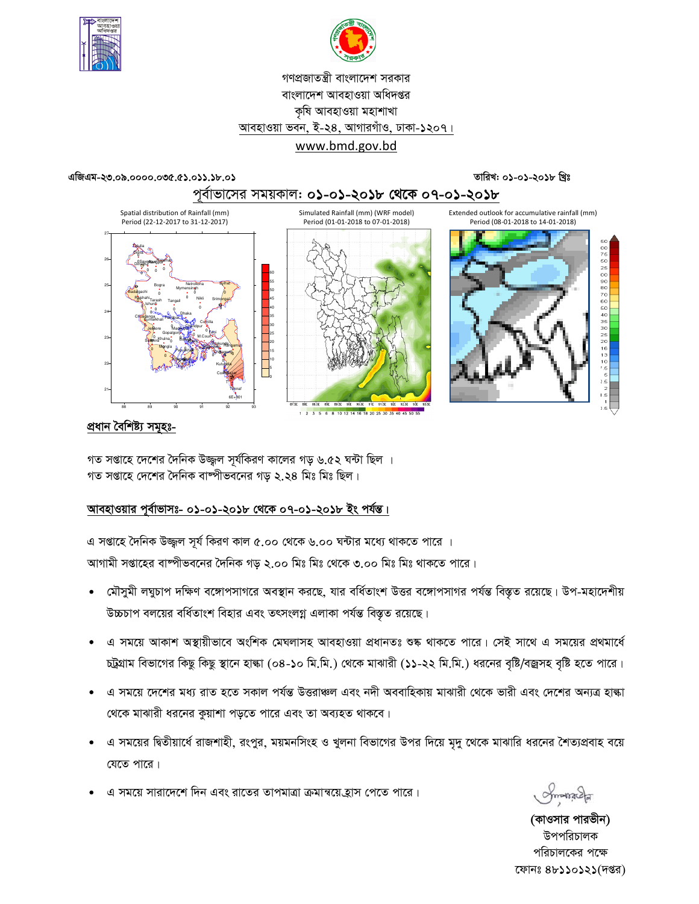



# গণপ্রজাতন্ত্রী বাংলাদেশ সরকার বাংলাদেশ আবহাওয়া অধিদপ্তর কৃষি আবহাওয়া মহাশাখা আবহাওয়া ভবন, ই-২৪, আগারগাঁও, ঢাকা-১২০৭। www.bmd.gov.bd

## এজিএম-২৩.০৯.০০০০.০৩৫.৫১.০১১.১৮.০১

# তারিখ: ০১-০১-২০১৮ খ্রিঃ





# প্ৰধান বৈশিষ্ট্য সমূহঃ-

গত সপ্তাহে দেশের দৈনিক উজ্জল সূর্যকিরণ কালের গড় ৬.৫২ ঘন্টা ছিল । গত সপ্তাহে দেশের দৈনিক বাষ্পীভবনের গড ২.২৪ মিঃ মিঃ ছিল।

# আবহাওয়ার পূর্বাভাসঃ- ০১-০১-২০১৮ থেকে ০৭-০১-২০১৮ ইং পর্যন্ত।

এ সপ্তাহে দৈনিক উজ্জুল সূর্য কিরণ কাল ৫.০০ থেকে ৬.০০ ঘন্টার মধ্যে থাকতে পারে । আগামী সপ্তাহের বাষ্পীভবনের দৈনিক গড় ২.০০ মিঃ মিঃ থেকে ৩.০০ মিঃ মিঃ থাকতে পারে।

- মৌসুমী লঘুচাপ দক্ষিণ বঙ্গোপসাগরে অবস্থান করছে, যার বর্ধিতাংশ উত্তর বঙ্গোপসাগর পর্যন্ত বিস্তৃত রয়েছে। উপ-মহাদেশীয় উচ্চচাপ বলয়ের বর্ধিতাংশ বিহার এবং তৎসংলগ্ন এলাকা পর্যন্ত বিস্তৃত রয়েছে।
- এ সময়ে আকাশ অস্থায়ীভাবে অংশিক মেঘলাসহ আবহাওয়া প্রধানতঃ শুষ্ক থাকতে পারে। সেই সাথে এ সময়ের প্রথমার্ধে চট্রগ্রাম বিভাগের কিছু কিছু স্থানে হাল্কা (০৪-১০ মি.মি.) থেকে মাঝারী (১১-২২ মি.মি.) ধরনের বৃষ্টি/বজ্রসহ বৃষ্টি হতে পারে।
- এ সময়ে দেশের মধ্য রাত হতে সকাল পর্যন্ত উত্তরাঞ্চল এবং নদী অববাহিকায় মাঝারী থেকে ভারী এবং দেশের অন্যত্র হাল্কা থেকে মাঝারী ধরনের কুয়াশা পড়তে পারে এবং তা অব্যহত থাকবে।
- এ সময়ের দ্বিতীয়ার্ধে রাজশাহী, রংপুর, ময়মনসিংহ ও খুলনা বিভাগের উপর দিয়ে মৃদু থেকে মাঝারি ধরনের শৈত্যপ্রবাহ বয়ে যেতে পারে।
- এ সময়ে সারাদেশে দিন এবং রাতের তাপমাত্রা ক্রমান্বয়ে হ্রাস পেতে পারে।

(কাওসার পারভীন) উপপরিচালক পরিচালকের পক্ষে ফোনঃ ৪৮১১০১২১(দপ্তর)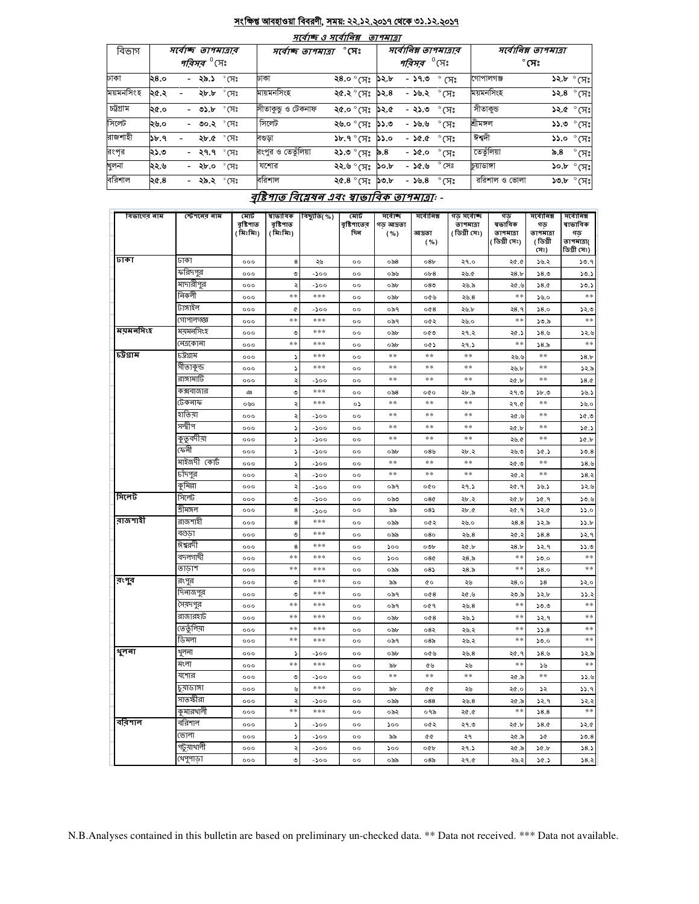### সংক্ষিপ্ত আবহাওয়া বিবরণী, সময়: ২২.১২.২০১৭ থেকে ৩১.১২.২০১৭  $=$   $\alpha$  <del>and  $\beta$  an</del>  $=$

| $7(9)$ $\%$ $0.9$ $\%$<br>וצומיוש |      |                               |                |                      |                          |                       |                                     |                        |               |              |                                  |
|-----------------------------------|------|-------------------------------|----------------|----------------------|--------------------------|-----------------------|-------------------------------------|------------------------|---------------|--------------|----------------------------------|
| বিভাগ                             |      | সৰ্বোচ্ছ তাপমাত্ৰাৰ           |                | সৰ্বোচ্ছ ত্ৰাপমাত্ৰা |                          | সর্বোনিম্ন তাপমাত্রার |                                     | সর্বোনিম্ন তাপমাত্রা   |               |              |                                  |
|                                   |      | <i>পরিসর <sup>৩</sup></i> সেঃ |                |                      |                          |                       | <i><b>পরিসর <sup>0</sup>(সং</b></i> |                        |               | $^\circ$ সেঃ |                                  |
| ঢাকা                              | ২৪.০ | - <b>২৯.১</b> ° সেঃ           |                | ঢাকা                 | ২৪.০ °মেঃ <b>১</b> ২.৮   |                       | $-59.0$                             | $\degree$ (X $\degree$ | গোপালগঞ্জ     |              | <b>১২.৮</b> ° সেঃ                |
| ময়মনসিংহ                         | ২৫.২ | <b>২৮.৮</b> ° সেঃ             |                | মায়মনসিংহ           | ২৫.২ ° সেঃ <b>১</b> ২.৪  |                       | - ১৬.২                              | ੰ (ਸ $\degree$         | ময়মনসিংহ     |              | $52.8$ °সেঃ                      |
| চট্টগ্ৰাম                         | ২৫.০ | - ৩১.৮                        | $^{\circ}$ সেঃ | সীতাকুডু ও টেকনাফ    | ২৫.০ ° মেঃ <b>১</b> ২.৫  |                       | - ২১.৩                              | $\degree$ (সঃ          | সীতাকুড       |              | ১২.৫ ° সেঃ                       |
| সিলেট                             | ২৬.০ | - ৩০.২ °সেঃ                   |                | সিলেট                | ২৬.০ ° সেঃ <b>১১</b> .৩  |                       | - ১৬.৬                              | $\degree$ (সঃ          | শ্ৰীমঙ্গল     |              | $33.0^\circ$ সেঃ                 |
| রাজশাহী                           | 55.9 | ২৮.৫ ° সেঃ                    |                | বণ্ডডা               | $5b.9°$ (সঃ $5.0°$       |                       | - ১৫.৫                              | $\degree$ (সঃ          | ঈশ্বদী        |              | $55.0 °(T)$ ঃ                    |
| রংপৃর                             | ২১.৩ | - ২৭.৭ $\degree$ সেঃ          |                | রংপুর ও তেতুঁলিয়া   | ২১.৩ ° সেঃ               | ৯.৪                   | - ১৫.০                              | $\degree$ মেঃ          | তেতুঁলিয়া    | ৯.৪          | $^{\circ}$ (সঃ                   |
| খুলনা                             | ২২.৬ | - ২৮.০ °সেঃ                   |                | যশোর                 | ২২.৬ ° সেঃ               | ১০.৮                  | - ১৫.৬                              | $^{\circ}$ সেঃ         | চয়াডাঙ্গা    |              | $\mathcal{S}$ ০.৮ $^{\circ}$ (সঃ |
| বরিশাল                            | ২৫.৪ | - ২৯.২ ° সেঃ                  |                | বরিশাল               | ২৫.৪ $^{\circ}$ (সঃ ১৩.৮ |                       | - ১৬.৪                              | $\degree$ মেঃ          | ররিশাল ও ভোলা |              | $50.5^\circ$ প্রেঃ               |

# বৃষ্টিশাত বিশ্লেষৰ এবং স্বাভাবিক তাপমাত্ৰা -

| বিভাগের নাম         | স্টেশনের নাম           | মোট                   | ষাভাবিক                | বিছ্যুতি(%)  | মোট                      | সৰ্বোচ্ছ          | সৰ্বোনিম্ন      | গড় সৰ্বোচ্ছ               | গড                  | সৰ্বোনিম্ন      | সৰ্বোনিম্ন                |
|---------------------|------------------------|-----------------------|------------------------|--------------|--------------------------|-------------------|-----------------|----------------------------|---------------------|-----------------|---------------------------|
|                     |                        | বৃষ্টিশাত<br>(মিঃমিঃ) | বৃষ্টিপাত<br>( মিঃমিঃ) |              | বৃষ্টিশাতের<br>দিন       | গড আদ্রতা<br>( %) | আদ্ৰতা          | তাপমাত্রা<br>( ডিগ্ৰী সেঃ) | ষভাবিক<br>তাপমাত্রা | গড<br>তাপমাত্রা | ষাভাবিক<br>গড             |
|                     |                        |                       |                        |              |                          |                   | ( %)            |                            | ( ডিগ্ৰী সেঃ)       | (ডিগ্ৰী         | তাপমাত্রা(<br>ডিগ্ৰী সেঃ) |
| ঢাকা                | ঢাকা                   | 000                   | 8                      | ২৬           | $^{\circ}$               | ం ని8             | 08 <sub>b</sub> | ২৭.০                       | ২৫.৫                | সেঃ)<br>১৬.২    | 30.9                      |
|                     | ফরিদপুর                | 000                   | ৩                      | -200         | $^{\circ}$               | ০৯৬               | ob8             | ২৬.৫                       | 28.b                | 58.0            | 50.5                      |
|                     | মাদারীপুর              | 000                   | $\ddot{\phantom{0}}$   | -200         | 0 <sup>o</sup>           | ০৯৮               | 080             | ২৬.৯                       | ২৫.৬                | 38.0            | 50.5                      |
|                     | নিকলী                  | 000                   | **                     | ***          | $^{\circ}$               | ০৯৮               | ০৫৬             | ২৬.৪                       | $**$                | ১৬.০            | $\ast$                    |
|                     | টাঙ্গাইল               | 000                   | ¢                      | -200         | $^{\circ}$               | ০৯৭               | 0@8             | ২৬.৮                       | २8.१                | 58.0            | ১২.৩                      |
|                     | গোপালগজ্ঞ              | 000                   | **                     | ***          | $^{oo}$                  | ০৯৭               | ০৫২             | ২৬.০                       | **                  | ১৩.৯            | $\ast\ast$                |
| <u>स्</u> यस नगिः श | ময়মনসিংহ              | 000                   | ৩                      | ***          | $^{\circ}$               | ০৯৮               | ০৫৩             | ২৭.২                       | ২৫.১                | 38.5            | ১২.৬                      |
|                     | নেত্ৰকোনা              | 000                   | **                     | ***          | $^{oo}$                  | ০৯৮               | ০৫১             | ২৭.১                       | **                  | 58.5            | $**$                      |
| চট্ৰগ্ৰাম           | ঢট্টগ্ৰাম              | 000                   | د                      | ***          | $\circ$                  | **                | **              | **                         | ২৬.৬                | **              | 58.5                      |
|                     | সীতাকুন্ড              | 000                   | د                      | ***          | $^{\circ}$               | **                | $**$            | **                         | ২৬.৮                | **              | 25.5                      |
|                     | রাঙ্গামার্টি           | 000                   | ২                      | -200         | $^{oo}$                  | **                | $**$            | $* *$                      | ২৫.৮                | **              | 38.0                      |
|                     | কক্সবাজার              | ঞ                     | ৩                      | ***          | $^{\circ}$               | ం ని8             | 000             | ২৮.৯                       | ২৭.৩                | ১৮.৩            | 56.5                      |
|                     | টেকনাফ                 | ০৬০                   | ২                      | ***          | ০১                       | $**$              | $**$            | **                         | ২৭.৫                | **              | 56.0                      |
|                     | হাতিয়া                | 000                   | ২                      | -200         | $^{oo}$                  | **                | **              | **                         | ২৫.৬                | **              | ১৫.৩                      |
|                     | সন্দ্বীপ               | 000                   | د                      | -200         | $^{\circ}$               | **                | **              | **                         | ২৫.৮                | **              | 30.5                      |
|                     | কুতুবদীয়া             | 000                   | S                      | $-500$       | $^{\circ}$               | **                | $**$            | **                         | ২৬.৫                | **              | 30.5                      |
|                     | কেনী                   | 000                   | $\blacktriangleright$  | $-500$       | $^{oo}$                  | ০৯৮               | ০ $8$ ৬         | ২৮.২                       | ২৬.৩                | 30.5            | 50.8                      |
|                     | মাইজদী কোট             | 000                   | د                      | -200         | $^{\circ}$               | $**$              | **              | **                         | ২৫.৩                | **              | 38.5                      |
|                     | চাঁদপুর                | 000                   | ২                      | -200         | $^{oo}$                  | $**$              | $**$            | **                         | 20.5                | $**$            | 38.3                      |
|                     | কুমিল্লা               | 000                   | ২                      | -200         | $^{\circ}$               | ০৯৭               | 000             | 29.5                       | ২৫.৭                | ১৬.১            | 32.6                      |
| সিলেট               | সিলেট                  | 000                   | ৩                      | -200         | $^{\circ}$               | ಂನಿಲ              | 080             | ২৮.২                       | ২৫.৮                | ১৫.৭            | 30.9                      |
|                     | শ্ৰীমঙ্গল              | 000                   | 8                      | $-500$       | $^{\circ}$               | ৯৯                | 08)             | ২৮.৫                       | ২৫.৭                | ১২.৫            | 55.0                      |
| ৰাজশাহী             | রাজশাহী                | 000                   | 8                      | ***          | $^{\circ}$               | ০৯৯               | ০৫২             | ২৬.০                       | 28.8                | ১২.৯            | ১১.৮                      |
|                     | বগুড়া                 | 000                   | ৩                      | ***          | $^{\circ}$               | ০৯৯               | 080             | ২৬.৪                       | ২৫.২                | 58.8            | ১২.৭                      |
|                     | ঈশ্বরদী                | 000                   | 8                      | ***          | $^{oo}$                  | 500               | ০৩৮             | ২৫.৮                       | 28.5                | 32.9            | 33.0                      |
|                     | বদলগাছী                | 000                   | $**$                   | ***          | $^{\circ}$               | ১০০               | 080             | ২৪.৯                       | $**$                | ১৩.০            | $\ast$ $\ast$             |
|                     | তাডাশ                  | 000                   | **                     | ***          | $^{\circ}$               | ০৯৯               | 085             | ২৪.৯                       | $**$                | 58.0            | $\ast$ $\ast$             |
| রংপুর               | রংপুর                  | 000                   | ৩                      | ***          | $^{oo}$                  | ৯৯                | Q0              | ২৬                         | 28.0                | 58              | ১২.০                      |
|                     | দিনাজপুর               | 000                   | ৩                      | ***          | $^{\circ}$               | ০৯৭               | 008             | ২৫.৬                       | ২৩.৯                | 52.5            | 33.3                      |
|                     | সৈয়দপুর               | 000                   | $**$<br>**             | ***<br>***   | $^{\circ}$               | ০৯৭               | ०৫१             | ২৬.৪                       | $**$<br>**          | ১৩.৩            | $**$<br>$**$              |
|                     | রাজারহাট<br>তেতুঁলিয়া | 000                   | **                     | ***          | $\circ$                  | ০৯৮               | 0@8             | ২৬.১                       | $**$                | 32.9            | $**$                      |
|                     | ডিমলা                  | 000                   | $**$                   | ***          | $^{\circ}$<br>$\circ$    | ০৯৮               | ०४२             | ২৬.২                       | $**$                | 33.8            | $***$                     |
| থুলনা               | থুলনা                  | 000<br>000            |                        |              | $^{oo}$                  | ০৯৭<br>০৯৮        | ০8৯             | ২৬.২<br>২৬.৪               |                     | ১৩.০<br>38.6    | ১২.৯                      |
|                     | মংলা                   |                       | د<br>**                | -200<br>***  |                          |                   | ০৫৬             |                            | ২৫.৭<br>$**$        |                 | $**$                      |
|                     | যশোর                   | 000                   |                        |              | $^{\circ}$               | ৯৮<br>**          | ৫৬<br>$**$      | ২৬<br>**                   |                     | ১৬<br>$**$      |                           |
|                     | চুয়াডাঙ্গা            | 000                   | ৩                      | -200<br>***  | $^{\circ}$               |                   |                 |                            | ২৫.৯                |                 | 33.6                      |
|                     | সাতক্ষীরা              | 000<br>000            | ৬<br>ډ                 | -200         | $^{\circ}$<br>$^{\circ}$ | ৯৮<br>০৯৯         | œ<br>088        | ২৬                         | ২৫.০                | ১২<br>32.9      | 33.9<br>32.3              |
|                     | কুমারথালী              | 000                   | **                     | ***          | $^{oo}$                  | ০৯২               | ০৭৯             | ২৬.৪<br>20.0               | ২৫.৯<br>$**$        | 58.8            | $**$                      |
| ববিশাল              | বরিশাল                 | 000                   | د                      |              | $^{\circ}$               | 500               | ০৫২             | ২৭.৩                       | ২৫.৮                | 38.0            | ১২.৫                      |
|                     | ভোলা                   | 000                   | ډ                      | -১০০<br>-200 | $^{\circ}$               | ৯৯                | ¢¢              | ২৭                         | ২৫.৯                | ১৫              | 50.8                      |
|                     | পটুয়াথালী             | 000                   | ২                      | $-500$       | $^{\circ}$               | 500               | 000             | ২৭.১                       | ২৫.৯                | 30.5            | 58.5                      |
|                     | থেপুণাড়া              | 000                   | ৩                      | -১০০         | oo                       | ০৯৯               | 08 <sub>0</sub> | ২৭.৫                       | ২৬.২                | 30.5            | 38.3                      |
|                     |                        |                       |                        |              |                          |                   |                 |                            |                     |                 |                           |

N.B.Analyses contained in this bulletin are based on preliminary un-checked data. \*\* Data not received. \*\*\* Data not available.